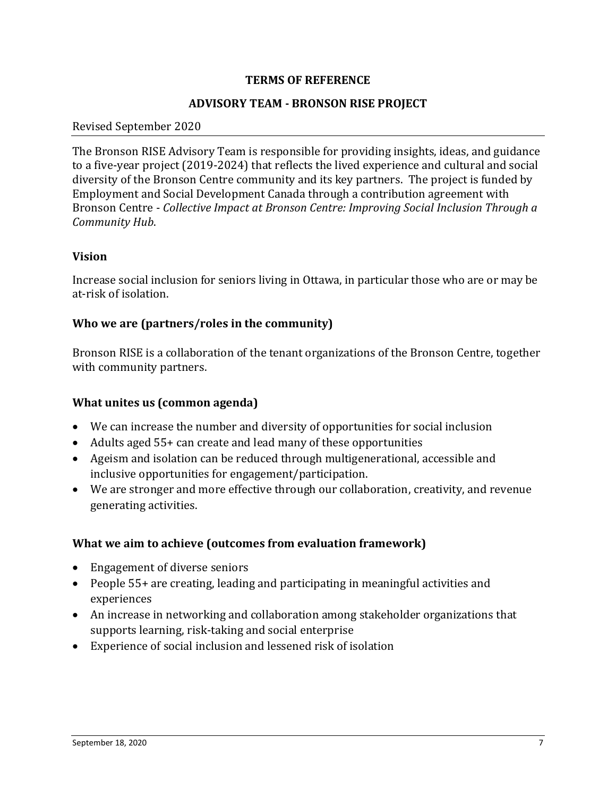### **TERMS OF REFERENCE**

#### **ADVISORY TEAM - BRONSON RISE PROJECT**

#### Revised September 2020

The Bronson RISE Advisory Team is responsible for providing insights, ideas, and guidance to a five-year project (2019-2024) that reflects the lived experience and cultural and social diversity of the Bronson Centre community and its key partners. The project is funded by Employment and Social Development Canada through a contribution agreement with Bronson Centre - *Collective Impact at Bronson Centre: Improving Social Inclusion Through a Community Hub*.

#### **Vision**

Increase social inclusion for seniors living in Ottawa, in particular those who are or may be at-risk of isolation.

### **Who we are (partners/roles in the community)**

Bronson RISE is a collaboration of the tenant organizations of the Bronson Centre, together with community partners.

#### **What unites us (common agenda)**

- We can increase the number and diversity of opportunities for social inclusion
- Adults aged 55+ can create and lead many of these opportunities
- Ageism and isolation can be reduced through multigenerational, accessible and inclusive opportunities for engagement/participation.
- We are stronger and more effective through our collaboration, creativity, and revenue generating activities.

#### **What we aim to achieve (outcomes from evaluation framework)**

- Engagement of diverse seniors
- People 55+ are creating, leading and participating in meaningful activities and experiences
- An increase in networking and collaboration among stakeholder organizations that supports learning, risk-taking and social enterprise
- Experience of social inclusion and lessened risk of isolation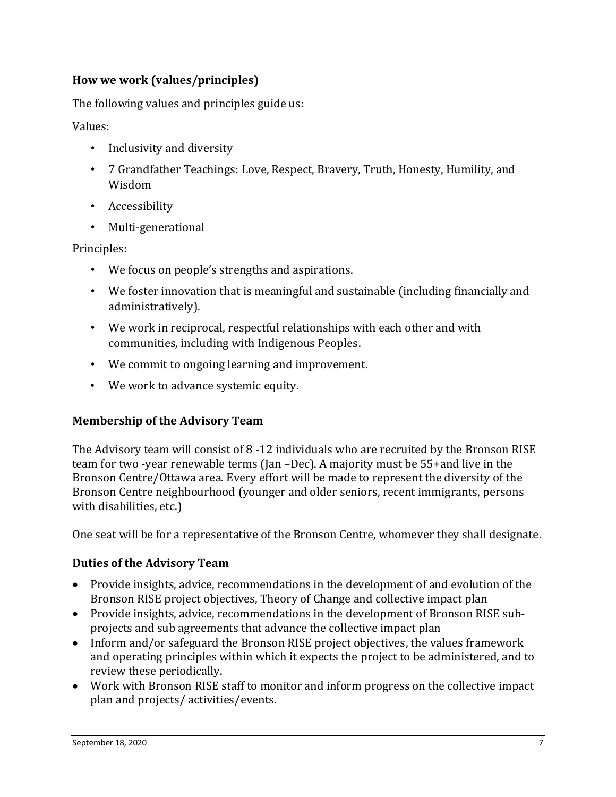## **How we work (values/principles)**

The following values and principles guide us:

Values:

- Inclusivity and diversity
- 7 Grandfather Teachings: Love, Respect, Bravery, Truth, Honesty, Humility, and Wisdom
- Accessibility
- Multi-generational

Principles:

- We focus on people's strengths and aspirations.
- We foster innovation that is meaningful and sustainable (including financially and administratively).
- We work in reciprocal, respectful relationships with each other and with communities, including with Indigenous Peoples.
- We commit to ongoing learning and improvement.
- We work to advance systemic equity.

## **Membership of the Advisory Team**

The Advisory team will consist of 8 -12 individuals who are recruited by the Bronson RISE team for two -year renewable terms (Jan –Dec). A majority must be 55+and live in the Bronson Centre/Ottawa area. Every effort will be made to represent the diversity of the Bronson Centre neighbourhood (younger and older seniors, recent immigrants, persons with disabilities, etc.)

One seat will be for a representative of the Bronson Centre, whomever they shall designate.

## **Duties of the Advisory Team**

- Provide insights, advice, recommendations in the development of and evolution of the Bronson RISE project objectives, Theory of Change and collective impact plan
- Provide insights, advice, recommendations in the development of Bronson RISE subprojects and sub agreements that advance the collective impact plan
- Inform and/or safeguard the Bronson RISE project objectives, the values framework and operating principles within which it expects the project to be administered, and to review these periodically.
- Work with Bronson RISE staff to monitor and inform progress on the collective impact plan and projects/ activities/events.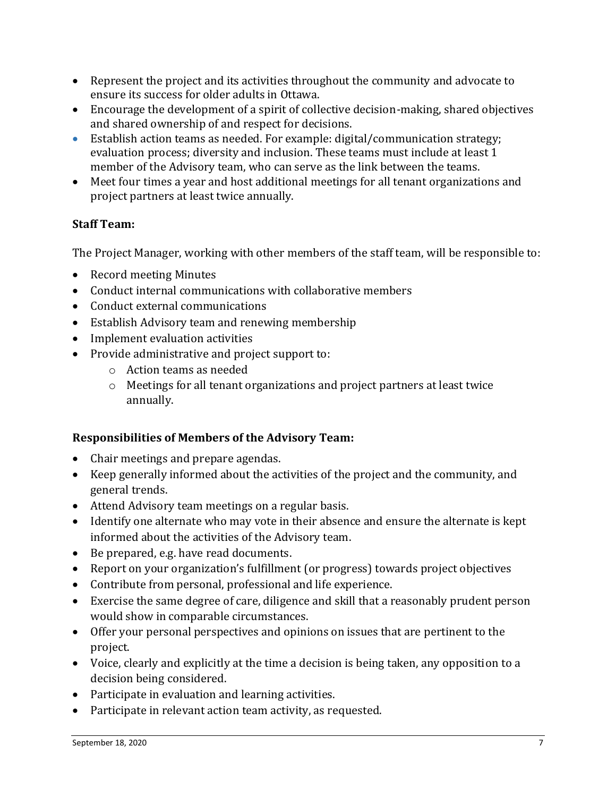- Represent the project and its activities throughout the community and advocate to ensure its success for older adults in Ottawa.
- Encourage the development of a spirit of collective decision-making, shared objectives and shared ownership of and respect for decisions.
- Establish action teams as needed. For example: digital/communication strategy; evaluation process; diversity and inclusion. These teams must include at least 1 member of the Advisory team, who can serve as the link between the teams.
- Meet four times a year and host additional meetings for all tenant organizations and project partners at least twice annually.

# **Staff Team:**

The Project Manager, working with other members of the staff team, will be responsible to:

- Record meeting Minutes
- Conduct internal communications with collaborative members
- Conduct external communications
- Establish Advisory team and renewing membership
- Implement evaluation activities
- Provide administrative and project support to:
	- o Action teams as needed
	- $\circ$  Meetings for all tenant organizations and project partners at least twice annually.

# **Responsibilities of Members of the Advisory Team:**

- Chair meetings and prepare agendas.
- Keep generally informed about the activities of the project and the community, and general trends.
- Attend Advisory team meetings on a regular basis.
- Identify one alternate who may vote in their absence and ensure the alternate is kept informed about the activities of the Advisory team.
- Be prepared, e.g. have read documents.
- Report on your organization's fulfillment (or progress) towards project objectives
- Contribute from personal, professional and life experience.
- Exercise the same degree of care, diligence and skill that a reasonably prudent person would show in comparable circumstances.
- Offer your personal perspectives and opinions on issues that are pertinent to the project.
- Voice, clearly and explicitly at the time a decision is being taken, any opposition to a decision being considered.
- Participate in evaluation and learning activities.
- Participate in relevant action team activity, as requested.